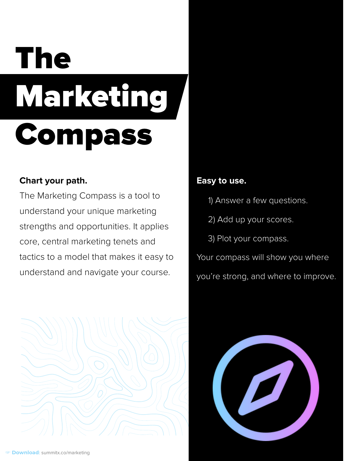#### **Chart your path.**

The Marketing Compass is a tool to understand your unique marketing strengths and opportunities. It applies core, central marketing tenets and tactics to a model that makes it easy to understand and navigate your course.



#### **Easy to use.**

- 1) Answer a few questions.
- 2) Add up your scores.
- 3) Plot your compass.

Your compass will show you where you're strong, and where to improve.

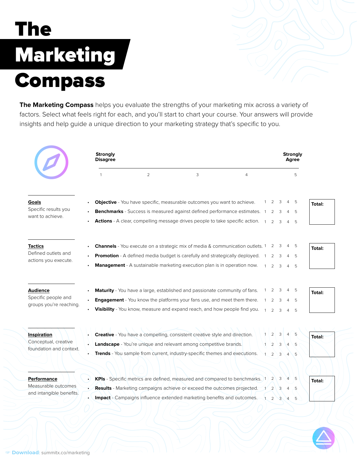**The Marketing Compass** helps you evaluate the strengths of your marketing mix across a variety of factors. Select what feels right for each, and you'll start to chart your course. Your answers will provide insights and help guide a unique direction to your marketing strategy that's specific to you.

|                                                                       | <b>Strongly</b><br><b>Disagree</b> |                |                                                                                                                                                                       |                |  | <b>Strongly</b><br><b>Agree</b> |                     |                                 |               |
|-----------------------------------------------------------------------|------------------------------------|----------------|-----------------------------------------------------------------------------------------------------------------------------------------------------------------------|----------------|--|---------------------------------|---------------------|---------------------------------|---------------|
|                                                                       |                                    | $\overline{2}$ | 3                                                                                                                                                                     | $\overline{4}$ |  |                                 |                     | 5                               |               |
| <b>Goals</b><br>Specific results you<br>want to achieve.              |                                    |                | <b>Objective</b> - You have specific, measurable outcomes you want to achieve.                                                                                        |                |  |                                 |                     | 5                               | <b>Total:</b> |
|                                                                       | $\bullet$                          |                | <b>Benchmarks</b> - Success is measured against defined performance estimates.<br><b>Actions</b> - A clear, compelling message drives people to take specific action. |                |  | 2<br>$\mathcal{P}$              |                     | -5<br>5                         |               |
| <b>Tactics</b><br>Defined outlets and<br>actions you execute.         |                                    |                | <b>Channels</b> - You execute on a strategic mix of media & communication outlets. 1                                                                                  |                |  | $\mathbf{2}$                    | 3                   | -5<br>4                         | <b>Total:</b> |
|                                                                       |                                    |                | <b>Promotion</b> - A defined media budget is carefully and strategically deployed.<br><b>Management</b> - A sustainable marketing execution plan is in operation now. |                |  | $\overline{2}$<br>$\mathcal{P}$ | 3<br>3              | -5<br>5                         |               |
| <b>Audience</b><br>Specific people and<br>groups you're reaching.     |                                    |                | <b>Maturity</b> - You have a large, established and passionate community of fans.                                                                                     |                |  |                                 |                     |                                 | <b>Total:</b> |
|                                                                       |                                    |                | <b>Engagement</b> - You know the platforms your fans use, and meet them there.<br>Visibility - You know, measure and expand reach, and how people find you.           |                |  | 2<br>$\mathcal{P}$              | 3                   | 5<br>5                          |               |
| <b>Inspiration</b><br>Conceptual, creative<br>foundation and context. |                                    |                | <b>Creative</b> - You have a compelling, consistent creative style and direction.                                                                                     |                |  |                                 | $2 \mid 3 \mid$     | $4 \mid$<br>- 5                 | <b>Total:</b> |
|                                                                       |                                    |                | Landscape - You're unique and relevant among competitive brands.<br><b>Trends</b> - You sample from current, industry-specific themes and executions.                 |                |  | $\sqrt{2}$<br>$\overline{2}$    | $\overline{3}$<br>3 | $\overline{4}$<br>. 5<br>5<br>4 |               |
| <b>Performance</b><br>Measurable outcomes<br>and intangible benefits. |                                    |                | KPIs - Specific metrics are defined, measured and compared to benchmarks. 1                                                                                           |                |  | $2^{\prime}$                    | 3                   | <sup>5</sup>                    | Total:        |
|                                                                       |                                    |                | <b>Results</b> - Marketing campaigns achieve or exceed the outcomes projected.<br><b>Impact</b> - Campaigns influence extended marketing benefits and outcomes.       |                |  | $2^{\prime}$<br>$\overline{2}$  | 3                   | -5<br>5                         |               |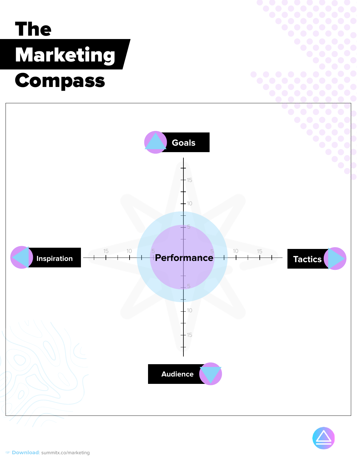